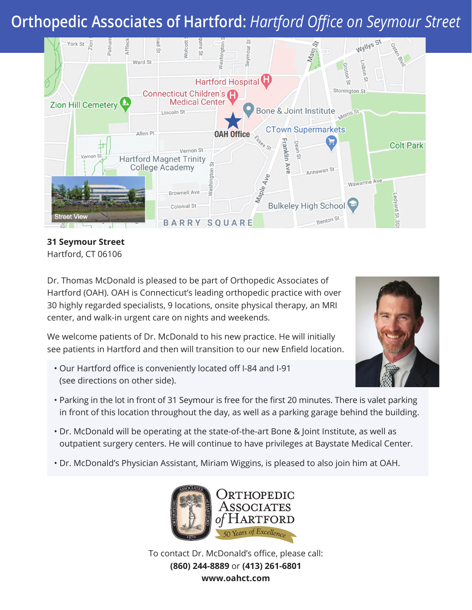# **Orthopedic Associates of Hartford:** *Hartford Office on Seymour Street*



**31 Seymour Street** Hartford, CT 06106

Dr. Thomas McDonald is pleased to be part of Orthopedic Associates of Hartford (OAH). OAH is Connecticut's leading orthopedic practice with over 30 highly regarded specialists, 9 locations, onsite physical therapy, an MRI center, and walk-in urgent care on nights and weekends.

We welcome patients of Dr. McDonald to his new practice. He will initially see patients in Hartford and then will transition to our new Enfield location.

• Our Hartford office is conveniently located off I-84 and I-91 (see directions on other side).



- Parking in the lot in front of 31 Seymour is free for the first 20 minutes. There is valet parking in front of this location throughout the day, as well as a parking garage behind the building.
- Dr. McDonald will be operating at the state-of-the-art Bone & Joint Institute, as well as outpatient surgery centers. He will continue to have privileges at Baystate Medical Center.
- Dr. McDonald's Physician Assistant, Miriam Wiggins, is pleased to also join him at OAH.



To contact Dr. McDonald's office, please call: **(860) 244-8889** or **(413) 261-6801 www.oahct.com**